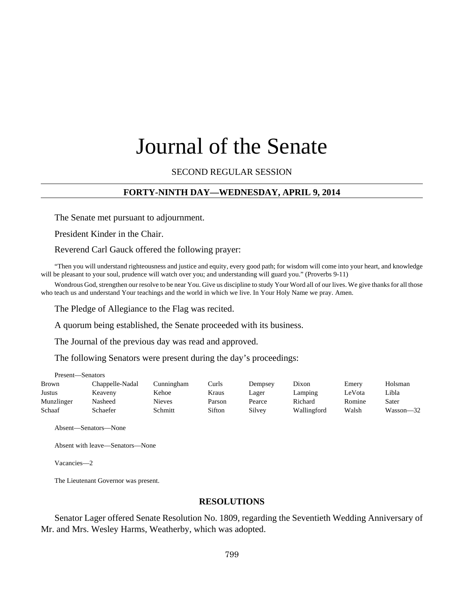# Journal of the Senate

#### SECOND REGULAR SESSION

#### **FORTY-NINTH DAY—WEDNESDAY, APRIL 9, 2014**

The Senate met pursuant to adjournment.

President Kinder in the Chair.

Reverend Carl Gauck offered the following prayer:

"Then you will understand righteousness and justice and equity, every good path; for wisdom will come into your heart, and knowledge will be pleasant to your soul, prudence will watch over you; and understanding will guard you." (Proverbs 9-11)

Wondrous God, strengthen our resolve to be near You. Give us discipline to study Your Word all of our lives. We give thanks for all those who teach us and understand Your teachings and the world in which we live. In Your Holy Name we pray. Amen.

The Pledge of Allegiance to the Flag was recited.

A quorum being established, the Senate proceeded with its business.

The Journal of the previous day was read and approved.

The following Senators were present during the day's proceedings:

| <b>Brown</b> | Chappelle-Nadal | Cunningham | Curls  | Dempsey | Dixon       | Emery  | Holsman   |
|--------------|-----------------|------------|--------|---------|-------------|--------|-----------|
| Justus       | Keaveny         | Kehoe      | Kraus  | Lager   | Lamping     | ∟eVota | Libla     |
| Munzlinger   | Nasheed         | Nieves     | Parson | Pearce  | Richard     | Romine | Sater     |
| Schaaf       | Schaefer        | Schmitt    | Sifton | Silvey  | Wallingford | Walsh  | Wasson—32 |

Absent—Senators—None

Present—Senators

Absent with leave—Senators—None

Vacancies—2

The Lieutenant Governor was present.

#### **RESOLUTIONS**

Senator Lager offered Senate Resolution No. 1809, regarding the Seventieth Wedding Anniversary of Mr. and Mrs. Wesley Harms, Weatherby, which was adopted.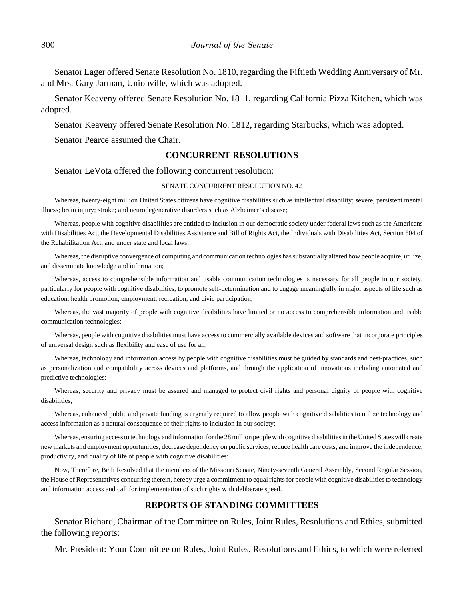Senator Lager offered Senate Resolution No. 1810, regarding the Fiftieth Wedding Anniversary of Mr. and Mrs. Gary Jarman, Unionville, which was adopted.

Senator Keaveny offered Senate Resolution No. 1811, regarding California Pizza Kitchen, which was adopted.

Senator Keaveny offered Senate Resolution No. 1812, regarding Starbucks, which was adopted.

Senator Pearce assumed the Chair.

#### **CONCURRENT RESOLUTIONS**

Senator LeVota offered the following concurrent resolution:

#### SENATE CONCURRENT RESOLUTION NO. 42

Whereas, twenty-eight million United States citizens have cognitive disabilities such as intellectual disability; severe, persistent mental illness; brain injury; stroke; and neurodegenerative disorders such as Alzheimer's disease;

Whereas, people with cognitive disabilities are entitled to inclusion in our democratic society under federal laws such as the Americans with Disabilities Act, the Developmental Disabilities Assistance and Bill of Rights Act, the Individuals with Disabilities Act, Section 504 of the Rehabilitation Act, and under state and local laws;

Whereas, the disruptive convergence of computing and communication technologies has substantially altered how people acquire, utilize, and disseminate knowledge and information;

Whereas, access to comprehensible information and usable communication technologies is necessary for all people in our society, particularly for people with cognitive disabilities, to promote self-determination and to engage meaningfully in major aspects of life such as education, health promotion, employment, recreation, and civic participation;

Whereas, the vast majority of people with cognitive disabilities have limited or no access to comprehensible information and usable communication technologies;

Whereas, people with cognitive disabilities must have access to commercially available devices and software that incorporate principles of universal design such as flexibility and ease of use for all;

Whereas, technology and information access by people with cognitive disabilities must be guided by standards and best-practices, such as personalization and compatibility across devices and platforms, and through the application of innovations including automated and predictive technologies;

Whereas, security and privacy must be assured and managed to protect civil rights and personal dignity of people with cognitive disabilities;

Whereas, enhanced public and private funding is urgently required to allow people with cognitive disabilities to utilize technology and access information as a natural consequence of their rights to inclusion in our society;

Whereas, ensuring access to technology and information for the 28 million people with cognitive disabilities in the United States will create new markets and employment opportunities; decrease dependency on public services; reduce health care costs; and improve the independence, productivity, and quality of life of people with cognitive disabilities:

Now, Therefore, Be It Resolved that the members of the Missouri Senate, Ninety-seventh General Assembly, Second Regular Session, the House of Representatives concurring therein, hereby urge a commitment to equal rights for people with cognitive disabilities to technology and information access and call for implementation of such rights with deliberate speed.

#### **REPORTS OF STANDING COMMITTEES**

Senator Richard, Chairman of the Committee on Rules, Joint Rules, Resolutions and Ethics, submitted the following reports:

Mr. President: Your Committee on Rules, Joint Rules, Resolutions and Ethics, to which were referred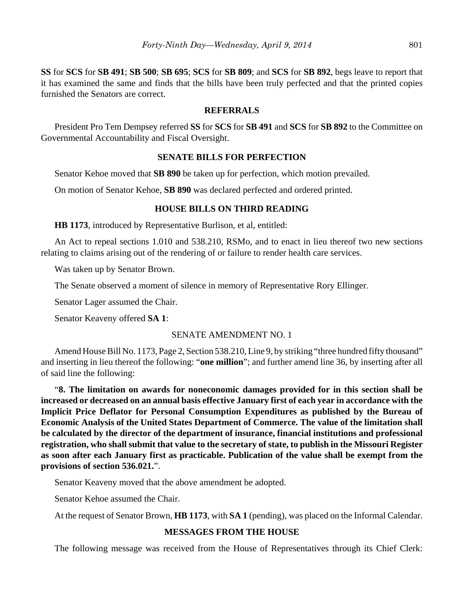**SS** for **SCS** for **SB 491**; **SB 500**; **SB 695**; **SCS** for **SB 809**; and **SCS** for **SB 892**, begs leave to report that it has examined the same and finds that the bills have been truly perfected and that the printed copies furnished the Senators are correct.

#### **REFERRALS**

President Pro Tem Dempsey referred **SS** for **SCS** for **SB 491** and **SCS** for **SB 892** to the Committee on Governmental Accountability and Fiscal Oversight.

# **SENATE BILLS FOR PERFECTION**

Senator Kehoe moved that **SB 890** be taken up for perfection, which motion prevailed.

On motion of Senator Kehoe, **SB 890** was declared perfected and ordered printed.

# **HOUSE BILLS ON THIRD READING**

**HB 1173**, introduced by Representative Burlison, et al, entitled:

An Act to repeal sections 1.010 and 538.210, RSMo, and to enact in lieu thereof two new sections relating to claims arising out of the rendering of or failure to render health care services.

Was taken up by Senator Brown.

The Senate observed a moment of silence in memory of Representative Rory Ellinger.

Senator Lager assumed the Chair.

Senator Keaveny offered **SA 1**:

#### SENATE AMENDMENT NO. 1

Amend House Bill No. 1173, Page 2, Section 538.210, Line 9, by striking "three hundred fifty thousand" and inserting in lieu thereof the following: "**one million**"; and further amend line 36, by inserting after all of said line the following:

"**8. The limitation on awards for noneconomic damages provided for in this section shall be increased or decreased on an annual basis effective January first of each year in accordance with the Implicit Price Deflator for Personal Consumption Expenditures as published by the Bureau of Economic Analysis of the United States Department of Commerce. The value of the limitation shall be calculated by the director of the department of insurance, financial institutions and professional registration, who shall submit that value to the secretary of state, to publish in the Missouri Register as soon after each January first as practicable. Publication of the value shall be exempt from the provisions of section 536.021.**".

Senator Keaveny moved that the above amendment be adopted.

Senator Kehoe assumed the Chair.

At the request of Senator Brown, **HB 1173**, with **SA 1** (pending), was placed on the Informal Calendar.

# **MESSAGES FROM THE HOUSE**

The following message was received from the House of Representatives through its Chief Clerk: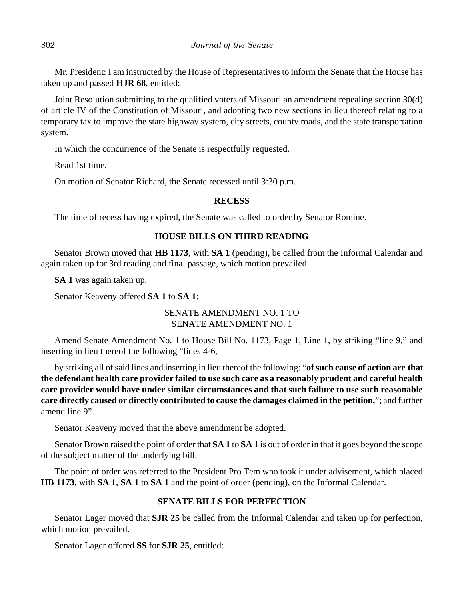Mr. President: I am instructed by the House of Representatives to inform the Senate that the House has taken up and passed **HJR 68**, entitled:

Joint Resolution submitting to the qualified voters of Missouri an amendment repealing section 30(d) of article IV of the Constitution of Missouri, and adopting two new sections in lieu thereof relating to a temporary tax to improve the state highway system, city streets, county roads, and the state transportation system.

In which the concurrence of the Senate is respectfully requested.

Read 1st time.

On motion of Senator Richard, the Senate recessed until 3:30 p.m.

# **RECESS**

The time of recess having expired, the Senate was called to order by Senator Romine.

# **HOUSE BILLS ON THIRD READING**

Senator Brown moved that **HB 1173**, with **SA 1** (pending), be called from the Informal Calendar and again taken up for 3rd reading and final passage, which motion prevailed.

**SA 1** was again taken up.

Senator Keaveny offered **SA 1** to **SA 1**:

# SENATE AMENDMENT NO. 1 TO SENATE AMENDMENT NO. 1

Amend Senate Amendment No. 1 to House Bill No. 1173, Page 1, Line 1, by striking "line 9," and inserting in lieu thereof the following "lines 4-6,

 by striking all of said lines and inserting in lieu thereof the following: "**of such cause of action are that the defendant health care provider failed to use such care as a reasonably prudent and careful health care provider would have under similar circumstances and that such failure to use such reasonable care directly caused or directly contributed to cause the damages claimed in the petition.**"; and further amend line 9".

Senator Keaveny moved that the above amendment be adopted.

Senator Brown raised the point of order that **SA 1** to **SA 1** is out of order in that it goes beyond the scope of the subject matter of the underlying bill.

The point of order was referred to the President Pro Tem who took it under advisement, which placed **HB 1173**, with **SA 1**, **SA 1** to **SA 1** and the point of order (pending), on the Informal Calendar.

# **SENATE BILLS FOR PERFECTION**

Senator Lager moved that **SJR 25** be called from the Informal Calendar and taken up for perfection, which motion prevailed.

Senator Lager offered **SS** for **SJR 25**, entitled: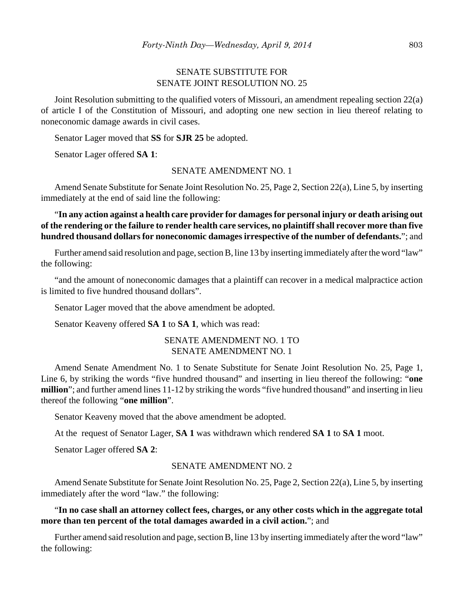# SENATE SUBSTITUTE FOR SENATE JOINT RESOLUTION NO. 25

Joint Resolution submitting to the qualified voters of Missouri, an amendment repealing section 22(a) of article I of the Constitution of Missouri, and adopting one new section in lieu thereof relating to noneconomic damage awards in civil cases.

Senator Lager moved that **SS** for **SJR 25** be adopted.

Senator Lager offered **SA 1**:

#### SENATE AMENDMENT NO. 1

Amend Senate Substitute for Senate Joint Resolution No. 25, Page 2, Section 22(a), Line 5, by inserting immediately at the end of said line the following:

"**In any action against a health care provider for damages for personal injury or death arising out of the rendering or the failure to render health care services, no plaintiff shall recover more than five hundred thousand dollars for noneconomic damages irrespective of the number of defendants.**"; and

Further amend said resolution and page, section B, line 13 by inserting immediately after the word "law" the following:

"and the amount of noneconomic damages that a plaintiff can recover in a medical malpractice action is limited to five hundred thousand dollars".

Senator Lager moved that the above amendment be adopted.

Senator Keaveny offered **SA 1** to **SA 1**, which was read:

# SENATE AMENDMENT NO. 1 TO SENATE AMENDMENT NO. 1

Amend Senate Amendment No. 1 to Senate Substitute for Senate Joint Resolution No. 25, Page 1, Line 6, by striking the words "five hundred thousand" and inserting in lieu thereof the following: "**one million**"; and further amend lines 11-12 by striking the words "five hundred thousand" and inserting in lieu thereof the following "**one million**".

Senator Keaveny moved that the above amendment be adopted.

At the request of Senator Lager, **SA 1** was withdrawn which rendered **SA 1** to **SA 1** moot.

Senator Lager offered **SA 2**:

#### SENATE AMENDMENT NO. 2

Amend Senate Substitute for Senate Joint Resolution No. 25, Page 2, Section 22(a), Line 5, by inserting immediately after the word "law." the following:

#### "**In no case shall an attorney collect fees, charges, or any other costs which in the aggregate total more than ten percent of the total damages awarded in a civil action.**"; and

Further amend said resolution and page, section B, line 13 by inserting immediately after the word "law" the following: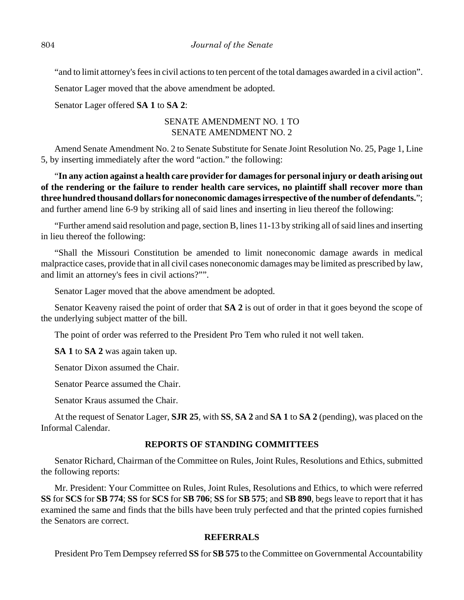"and to limit attorney's fees in civil actions to ten percent of the total damages awarded in a civil action".

Senator Lager moved that the above amendment be adopted.

Senator Lager offered **SA 1** to **SA 2**:

# SENATE AMENDMENT NO. 1 TO SENATE AMENDMENT NO. 2

Amend Senate Amendment No. 2 to Senate Substitute for Senate Joint Resolution No. 25, Page 1, Line 5, by inserting immediately after the word "action." the following:

"**In any action against a health care provider for damages for personal injury or death arising out of the rendering or the failure to render health care services, no plaintiff shall recover more than three hundred thousand dollars for noneconomic damages irrespective of the number of defendants.**"; and further amend line 6-9 by striking all of said lines and inserting in lieu thereof the following:

"Further amend said resolution and page, section B, lines 11-13 by striking all of said lines and inserting in lieu thereof the following:

"Shall the Missouri Constitution be amended to limit noneconomic damage awards in medical malpractice cases, provide that in all civil cases noneconomic damages may be limited as prescribed by law, and limit an attorney's fees in civil actions?"".

Senator Lager moved that the above amendment be adopted.

Senator Keaveny raised the point of order that **SA 2** is out of order in that it goes beyond the scope of the underlying subject matter of the bill.

The point of order was referred to the President Pro Tem who ruled it not well taken.

**SA 1** to **SA 2** was again taken up.

Senator Dixon assumed the Chair.

Senator Pearce assumed the Chair.

Senator Kraus assumed the Chair.

At the request of Senator Lager, **SJR 25**, with **SS**, **SA 2** and **SA 1** to **SA 2** (pending), was placed on the Informal Calendar.

#### **REPORTS OF STANDING COMMITTEES**

Senator Richard, Chairman of the Committee on Rules, Joint Rules, Resolutions and Ethics, submitted the following reports:

Mr. President: Your Committee on Rules, Joint Rules, Resolutions and Ethics, to which were referred **SS** for **SCS** for **SB 774**; **SS** for **SCS** for **SB 706**; **SS** for **SB 575**; and **SB 890**, begs leave to report that it has examined the same and finds that the bills have been truly perfected and that the printed copies furnished the Senators are correct.

# **REFERRALS**

President Pro Tem Dempsey referred **SS** for **SB 575** to the Committee on Governmental Accountability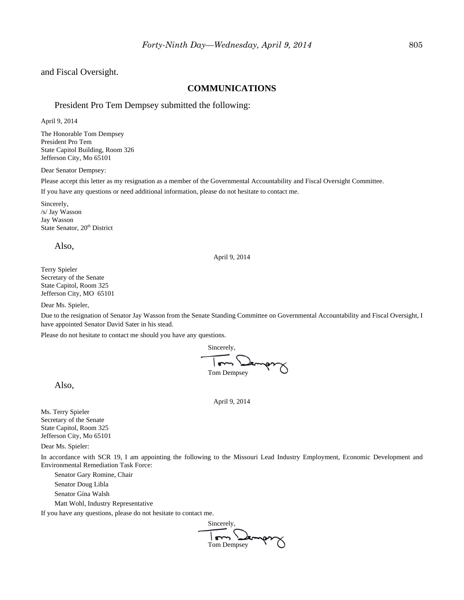and Fiscal Oversight.

#### **COMMUNICATIONS**

#### President Pro Tem Dempsey submitted the following:

April 9, 2014

The Honorable Tom Dempsey President Pro Tem State Capitol Building, Room 326 Jefferson City, Mo 65101

Dear Senator Dempsey:

Please accept this letter as my resignation as a member of the Governmental Accountability and Fiscal Oversight Committee.

If you have any questions or need additional information, please do not hesitate to contact me.

Sincerely, /s/ Jay Wasson Jay Wasson State Senator, 20<sup>th</sup> District

Also,

#### April 9, 2014

Terry Spieler Secretary of the Senate State Capitol, Room 325 Jefferson City, MO 65101

Dear Ms. Spieler,

Due to the resignation of Senator Jay Wasson from the Senate Standing Committee on Governmental Accountability and Fiscal Oversight, I have appointed Senator David Sater in his stead.

Please do not hesitate to contact me should you have any questions.

Sincerely,  $\overline{m}$ بمعك Tom Dempsey

Also,

Ms. Terry Spieler Secretary of the Senate State Capitol, Room 325 Jefferson City, Mo 65101

Dear Ms. Spieler:

In accordance with SCR 19, I am appointing the following to the Missouri Lead Industry Employment, Economic Development and Environmental Remediation Task Force:

April 9, 2014

Senator Gary Romine, Chair

Senator Doug Libla

Senator Gina Walsh

Matt Wohl, Industry Representative

If you have any questions, please do not hesitate to contact me.

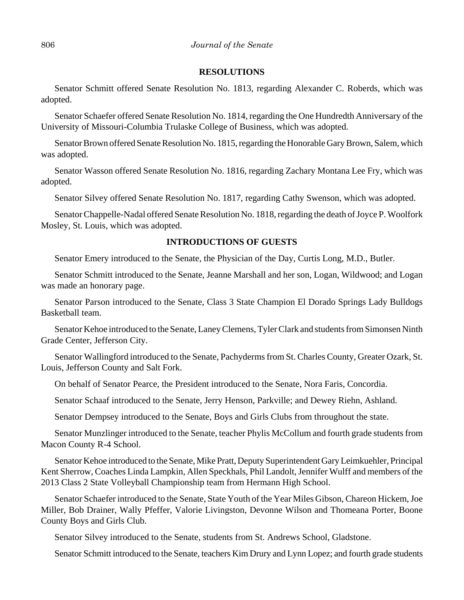#### **RESOLUTIONS**

Senator Schmitt offered Senate Resolution No. 1813, regarding Alexander C. Roberds, which was adopted.

Senator Schaefer offered Senate Resolution No. 1814, regarding the One Hundredth Anniversary of the University of Missouri-Columbia Trulaske College of Business, which was adopted.

Senator Brown offered Senate Resolution No. 1815, regarding the Honorable Gary Brown, Salem, which was adopted.

Senator Wasson offered Senate Resolution No. 1816, regarding Zachary Montana Lee Fry, which was adopted.

Senator Silvey offered Senate Resolution No. 1817, regarding Cathy Swenson, which was adopted.

Senator Chappelle-Nadal offered Senate Resolution No. 1818, regarding the death of Joyce P. Woolfork Mosley, St. Louis, which was adopted.

#### **INTRODUCTIONS OF GUESTS**

Senator Emery introduced to the Senate, the Physician of the Day, Curtis Long, M.D., Butler.

Senator Schmitt introduced to the Senate, Jeanne Marshall and her son, Logan, Wildwood; and Logan was made an honorary page.

Senator Parson introduced to the Senate, Class 3 State Champion El Dorado Springs Lady Bulldogs Basketball team.

Senator Kehoe introduced to the Senate, Laney Clemens, Tyler Clark and students from Simonsen Ninth Grade Center, Jefferson City.

Senator Wallingford introduced to the Senate, Pachyderms from St. Charles County, Greater Ozark, St. Louis, Jefferson County and Salt Fork.

On behalf of Senator Pearce, the President introduced to the Senate, Nora Faris, Concordia.

Senator Schaaf introduced to the Senate, Jerry Henson, Parkville; and Dewey Riehn, Ashland.

Senator Dempsey introduced to the Senate, Boys and Girls Clubs from throughout the state.

Senator Munzlinger introduced to the Senate, teacher Phylis McCollum and fourth grade students from Macon County R-4 School.

Senator Kehoe introduced to the Senate, Mike Pratt, Deputy Superintendent Gary Leimkuehler, Principal Kent Sherrow, Coaches Linda Lampkin, Allen Speckhals, Phil Landolt, Jennifer Wulff and members of the 2013 Class 2 State Volleyball Championship team from Hermann High School.

Senator Schaefer introduced to the Senate, State Youth of the Year Miles Gibson, Chareon Hickem, Joe Miller, Bob Drainer, Wally Pfeffer, Valorie Livingston, Devonne Wilson and Thomeana Porter, Boone County Boys and Girls Club.

Senator Silvey introduced to the Senate, students from St. Andrews School, Gladstone.

Senator Schmitt introduced to the Senate, teachers Kim Drury and Lynn Lopez; and fourth grade students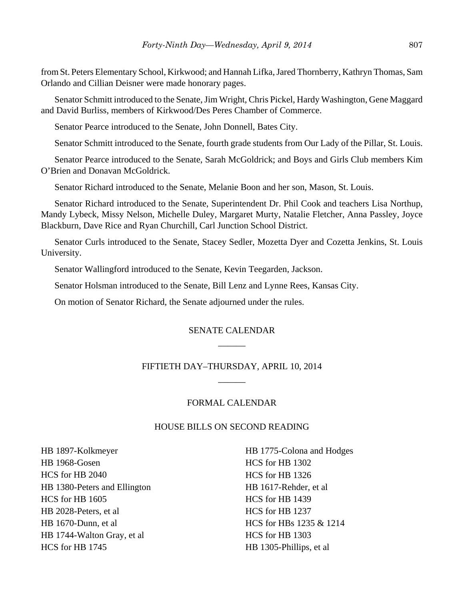from St. Peters Elementary School, Kirkwood; and Hannah Lifka, Jared Thornberry, Kathryn Thomas, Sam Orlando and Cillian Deisner were made honorary pages.

Senator Schmitt introduced to the Senate, Jim Wright, Chris Pickel, Hardy Washington, Gene Maggard and David Burliss, members of Kirkwood/Des Peres Chamber of Commerce.

Senator Pearce introduced to the Senate, John Donnell, Bates City.

Senator Schmitt introduced to the Senate, fourth grade students from Our Lady of the Pillar, St. Louis.

Senator Pearce introduced to the Senate, Sarah McGoldrick; and Boys and Girls Club members Kim O'Brien and Donavan McGoldrick.

Senator Richard introduced to the Senate, Melanie Boon and her son, Mason, St. Louis.

Senator Richard introduced to the Senate, Superintendent Dr. Phil Cook and teachers Lisa Northup, Mandy Lybeck, Missy Nelson, Michelle Duley, Margaret Murty, Natalie Fletcher, Anna Passley, Joyce Blackburn, Dave Rice and Ryan Churchill, Carl Junction School District.

Senator Curls introduced to the Senate, Stacey Sedler, Mozetta Dyer and Cozetta Jenkins, St. Louis University.

Senator Wallingford introduced to the Senate, Kevin Teegarden, Jackson.

Senator Holsman introduced to the Senate, Bill Lenz and Lynne Rees, Kansas City.

On motion of Senator Richard, the Senate adjourned under the rules.

# SENATE CALENDAR \_\_\_\_\_\_

# FIFTIETH DAY–THURSDAY, APRIL 10, 2014 \_\_\_\_\_\_

#### FORMAL CALENDAR

#### HOUSE BILLS ON SECOND READING

HB 1897-Kolkmeyer HB 1968-Gosen HCS for HB 2040 HB 1380-Peters and Ellington HCS for HB 1605 HB 2028-Peters, et al HB 1670-Dunn, et al HB 1744-Walton Gray, et al HCS for HB 1745

HB 1775-Colona and Hodges HCS for HB 1302 HCS for HB 1326 HB 1617-Rehder, et al HCS for HB 1439 HCS for HB 1237 HCS for HBs 1235 & 1214 HCS for HB 1303 HB 1305-Phillips, et al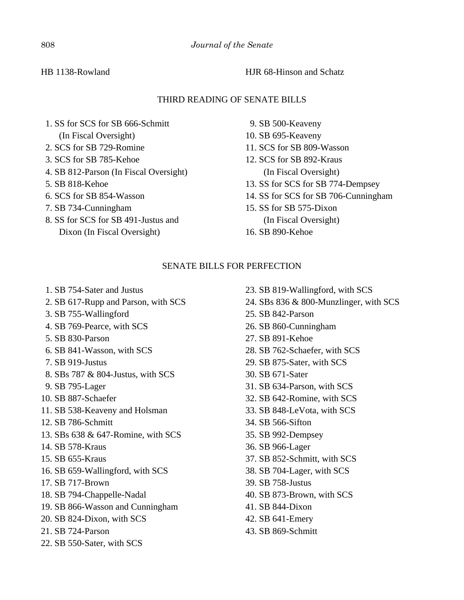# HB 1138-Rowland HJR 68-Hinson and Schatz

# THIRD READING OF SENATE BILLS

- 1. SS for SCS for SB 666-Schmitt (In Fiscal Oversight)
- 2. SCS for SB 729-Romine
- 3. SCS for SB 785-Kehoe
- 4. SB 812-Parson (In Fiscal Oversight)
- 5. SB 818-Kehoe
- 6. SCS for SB 854-Wasson
- 7. SB 734-Cunningham
- 8. SS for SCS for SB 491-Justus and
	- Dixon (In Fiscal Oversight)
- 9. SB 500-Keaveny
- 10. SB 695-Keaveny
- 11. SCS for SB 809-Wasson
- 12. SCS for SB 892-Kraus (In Fiscal Oversight)
- 13. SS for SCS for SB 774-Dempsey
- 14. SS for SCS for SB 706-Cunningham
- 15. SS for SB 575-Dixon (In Fiscal Oversight)
- 16. SB 890-Kehoe

# SENATE BILLS FOR PERFECTION

- 1. SB 754-Sater and Justus
- 2. SB 617-Rupp and Parson, with SCS
- 3. SB 755-Wallingford
- 4. SB 769-Pearce, with SCS
- 5. SB 830-Parson
- 6. SB 841-Wasson, with SCS
- 7. SB 919-Justus
- 8. SBs 787 & 804-Justus, with SCS
- 9. SB 795-Lager
- 10. SB 887-Schaefer
- 11. SB 538-Keaveny and Holsman
- 12. SB 786-Schmitt
- 13. SBs 638 & 647-Romine, with SCS
- 14. SB 578-Kraus
- 15. SB 655-Kraus
- 16. SB 659-Wallingford, with SCS
- 17. SB 717-Brown
- 18. SB 794-Chappelle-Nadal
- 19. SB 866-Wasson and Cunningham
- 20. SB 824-Dixon, with SCS
- 21. SB 724-Parson
- 22. SB 550-Sater, with SCS
- 23. SB 819-Wallingford, with SCS
- 24. SBs 836 & 800-Munzlinger, with SCS
- 25. SB 842-Parson
- 26. SB 860-Cunningham
- 27. SB 891-Kehoe
- 28. SB 762-Schaefer, with SCS
- 29. SB 875-Sater, with SCS
- 30. SB 671-Sater
- 31. SB 634-Parson, with SCS
- 32. SB 642-Romine, with SCS
- 33. SB 848-LeVota, with SCS
- 34. SB 566-Sifton
- 35. SB 992-Dempsey
- 36. SB 966-Lager
- 37. SB 852-Schmitt, with SCS
- 38. SB 704-Lager, with SCS
- 39. SB 758-Justus
- 40. SB 873-Brown, with SCS
- 41. SB 844-Dixon
- 42. SB 641-Emery
- 43. SB 869-Schmitt